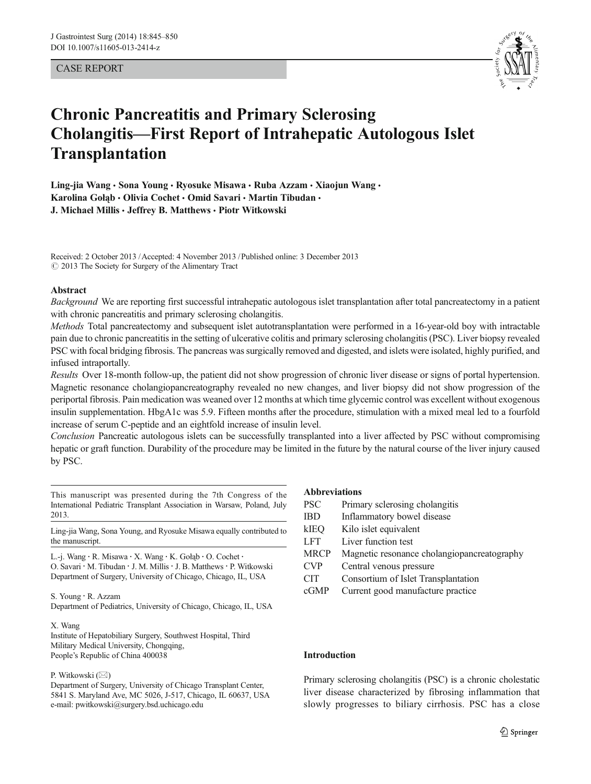# CASE REPORT



# Chronic Pancreatitis and Primary Sclerosing Cholangitis—First Report of Intrahepatic Autologous Islet **Transplantation**

Ling-jia Wang · Sona Young · Ryosuke Misawa · Ruba Azzam · Xiaojun Wang · Karolina Gołąb • Olivia Cochet • Omid Savari • Martin Tibudan • J. Michael Millis · Jeffrey B. Matthews · Piotr Witkowski

Received: 2 October 2013 /Accepted: 4 November 2013 / Published online: 3 December 2013  $\odot$  2013 The Society for Surgery of the Alimentary Tract

#### Abstract

Background We are reporting first successful intrahepatic autologous islet transplantation after total pancreatectomy in a patient with chronic pancreatitis and primary sclerosing cholangitis.

Methods Total pancreatectomy and subsequent islet autotransplantation were performed in a 16-year-old boy with intractable pain due to chronic pancreatitis in the setting of ulcerative colitis and primary sclerosing cholangitis (PSC). Liver biopsy revealed PSC with focal bridging fibrosis. The pancreas was surgically removed and digested, and islets were isolated, highly purified, and infused intraportally.

Results Over 18-month follow-up, the patient did not show progression of chronic liver disease or signs of portal hypertension. Magnetic resonance cholangiopancreatography revealed no new changes, and liver biopsy did not show progression of the periportal fibrosis. Pain medication was weaned over 12 months at which time glycemic control was excellent without exogenous insulin supplementation. HbgA1c was 5.9. Fifteen months after the procedure, stimulation with a mixed meal led to a fourfold increase of serum C-peptide and an eightfold increase of insulin level.

Conclusion Pancreatic autologous islets can be successfully transplanted into a liver affected by PSC without compromising hepatic or graft function. Durability of the procedure may be limited in the future by the natural course of the liver injury caused by PSC.

This manuscript was presented during the 7th Congress of the International Pediatric Transplant Association in Warsaw, Poland, July 2013.

Ling-jia Wang, Sona Young, and Ryosuke Misawa equally contributed to the manuscript.

L.<j. Wang : R. Misawa : X. Wang : K. Gołą<sup>b</sup> : O. Cochet : O. Savari · M. Tibudan · J. M. Millis · J. B. Matthews · P. Witkowski Department of Surgery, University of Chicago, Chicago, IL, USA

S. Young : R. Azzam

Department of Pediatrics, University of Chicago, Chicago, IL, USA

#### X. Wang

Institute of Hepatobiliary Surgery, Southwest Hospital, Third Military Medical University, Chongqing, People's Republic of China 400038

#### P. Witkowski  $(\boxtimes)$

Department of Surgery, University of Chicago Transplant Center, 5841 S. Maryland Ave, MC 5026, J-517, Chicago, IL 60637, USA e-mail: pwitkowski@surgery.bsd.uchicago.edu

# Abbreviations

| <b>PSC</b>  | Primary sclerosing cholangitis              |
|-------------|---------------------------------------------|
| <b>IBD</b>  | Inflammatory bowel disease                  |
| kIEQ        | Kilo islet equivalent                       |
| <b>LFT</b>  | Liver function test                         |
| <b>MRCP</b> | Magnetic resonance cholangiopancreatography |
| <b>CVP</b>  | Central venous pressure                     |
| <b>CIT</b>  | Consortium of Islet Transplantation         |
| cGMP        | Current good manufacture practice           |
|             |                                             |

#### Introduction

Primary sclerosing cholangitis (PSC) is a chronic cholestatic liver disease characterized by fibrosing inflammation that slowly progresses to biliary cirrhosis. PSC has a close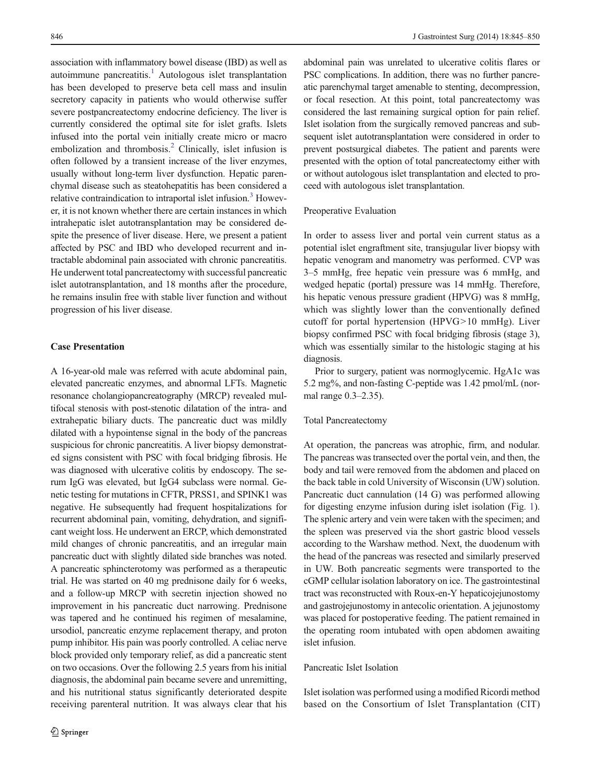association with inflammatory bowel disease (IBD) as well as autoimmune pancreatitis.<sup>1</sup> Autologous islet transplantation has been developed to preserve beta cell mass and insulin secretory capacity in patients who would otherwise suffer severe postpancreatectomy endocrine deficiency. The liver is currently considered the optimal site for islet grafts. Islets infused into the portal vein initially create micro or macro embolization and thrombosis.<sup>[2](#page-5-0)</sup> Clinically, islet infusion is often followed by a transient increase of the liver enzymes, usually without long-term liver dysfunction. Hepatic parenchymal disease such as steatohepatitis has been considered a relative contraindication to intraportal islet infusion.<sup>[3](#page-5-0)</sup> However, it is not known whether there are certain instances in which intrahepatic islet autotransplantation may be considered despite the presence of liver disease. Here, we present a patient affected by PSC and IBD who developed recurrent and intractable abdominal pain associated with chronic pancreatitis. He underwent total pancreatectomy with successful pancreatic islet autotransplantation, and 18 months after the procedure, he remains insulin free with stable liver function and without progression of his liver disease.

## Case Presentation

A 16-year-old male was referred with acute abdominal pain, elevated pancreatic enzymes, and abnormal LFTs. Magnetic resonance cholangiopancreatography (MRCP) revealed multifocal stenosis with post-stenotic dilatation of the intra- and extrahepatic biliary ducts. The pancreatic duct was mildly dilated with a hypointense signal in the body of the pancreas suspicious for chronic pancreatitis. A liver biopsy demonstrated signs consistent with PSC with focal bridging fibrosis. He was diagnosed with ulcerative colitis by endoscopy. The serum IgG was elevated, but IgG4 subclass were normal. Genetic testing for mutations in CFTR, PRSS1, and SPINK1 was negative. He subsequently had frequent hospitalizations for recurrent abdominal pain, vomiting, dehydration, and significant weight loss. He underwent an ERCP, which demonstrated mild changes of chronic pancreatitis, and an irregular main pancreatic duct with slightly dilated side branches was noted. A pancreatic sphincterotomy was performed as a therapeutic trial. He was started on 40 mg prednisone daily for 6 weeks, and a follow-up MRCP with secretin injection showed no improvement in his pancreatic duct narrowing. Prednisone was tapered and he continued his regimen of mesalamine, ursodiol, pancreatic enzyme replacement therapy, and proton pump inhibitor. His pain was poorly controlled. A celiac nerve block provided only temporary relief, as did a pancreatic stent on two occasions. Over the following 2.5 years from his initial diagnosis, the abdominal pain became severe and unremitting, and his nutritional status significantly deteriorated despite receiving parenteral nutrition. It was always clear that his

abdominal pain was unrelated to ulcerative colitis flares or PSC complications. In addition, there was no further pancreatic parenchymal target amenable to stenting, decompression, or focal resection. At this point, total pancreatectomy was considered the last remaining surgical option for pain relief. Islet isolation from the surgically removed pancreas and subsequent islet autotransplantation were considered in order to prevent postsurgical diabetes. The patient and parents were presented with the option of total pancreatectomy either with or without autologous islet transplantation and elected to proceed with autologous islet transplantation.

#### Preoperative Evaluation

In order to assess liver and portal vein current status as a potential islet engraftment site, transjugular liver biopsy with hepatic venogram and manometry was performed. CVP was 3–5 mmHg, free hepatic vein pressure was 6 mmHg, and wedged hepatic (portal) pressure was 14 mmHg. Therefore, his hepatic venous pressure gradient (HPVG) was 8 mmHg, which was slightly lower than the conventionally defined cutoff for portal hypertension (HPVG>10 mmHg). Liver biopsy confirmed PSC with focal bridging fibrosis (stage 3), which was essentially similar to the histologic staging at his diagnosis.

Prior to surgery, patient was normoglycemic. HgA1c was 5.2 mg%, and non-fasting C-peptide was 1.42 pmol/mL (normal range 0.3–2.35).

## Total Pancreatectomy

At operation, the pancreas was atrophic, firm, and nodular. The pancreas was transected over the portal vein, and then, the body and tail were removed from the abdomen and placed on the back table in cold University of Wisconsin (UW) solution. Pancreatic duct cannulation (14 G) was performed allowing for digesting enzyme infusion during islet isolation (Fig. [1\)](#page-2-0). The splenic artery and vein were taken with the specimen; and the spleen was preserved via the short gastric blood vessels according to the Warshaw method. Next, the duodenum with the head of the pancreas was resected and similarly preserved in UW. Both pancreatic segments were transported to the cGMP cellular isolation laboratory on ice. The gastrointestinal tract was reconstructed with Roux-en-Y hepaticojejunostomy and gastrojejunostomy in antecolic orientation. A jejunostomy was placed for postoperative feeding. The patient remained in the operating room intubated with open abdomen awaiting islet infusion.

# Pancreatic Islet Isolation

Islet isolation was performed using a modified Ricordi method based on the Consortium of Islet Transplantation (CIT)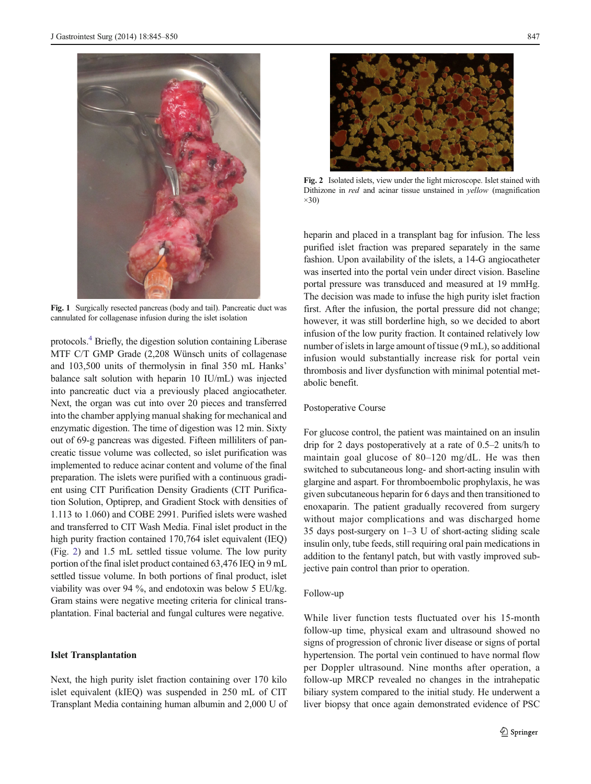<span id="page-2-0"></span>

Fig. 1 Surgically resected pancreas (body and tail). Pancreatic duct was cannulated for collagenase infusion during the islet isolation

protocols[.4](#page-5-0) Briefly, the digestion solution containing Liberase MTF C/T GMP Grade (2,208 Wünsch units of collagenase and 103,500 units of thermolysin in final 350 mL Hanks' balance salt solution with heparin 10 IU/mL) was injected into pancreatic duct via a previously placed angiocatheter. Next, the organ was cut into over 20 pieces and transferred into the chamber applying manual shaking for mechanical and enzymatic digestion. The time of digestion was 12 min. Sixty out of 69-g pancreas was digested. Fifteen milliliters of pancreatic tissue volume was collected, so islet purification was implemented to reduce acinar content and volume of the final preparation. The islets were purified with a continuous gradient using CIT Purification Density Gradients (CIT Purification Solution, Optiprep, and Gradient Stock with densities of 1.113 to 1.060) and COBE 2991. Purified islets were washed and transferred to CIT Wash Media. Final islet product in the high purity fraction contained 170,764 islet equivalent (IEQ) (Fig. 2) and 1.5 mL settled tissue volume. The low purity portion of the final islet product contained 63,476 IEQ in 9 mL settled tissue volume. In both portions of final product, islet viability was over 94 %, and endotoxin was below 5 EU/kg. Gram stains were negative meeting criteria for clinical transplantation. Final bacterial and fungal cultures were negative.

#### Islet Transplantation

Next, the high purity islet fraction containing over 170 kilo islet equivalent (kIEQ) was suspended in 250 mL of CIT Transplant Media containing human albumin and 2,000 U of



Fig. 2 Isolated islets, view under the light microscope. Islet stained with Dithizone in red and acinar tissue unstained in yellow (magnification  $\times$ 30)

heparin and placed in a transplant bag for infusion. The less purified islet fraction was prepared separately in the same fashion. Upon availability of the islets, a 14-G angiocatheter was inserted into the portal vein under direct vision. Baseline portal pressure was transduced and measured at 19 mmHg. The decision was made to infuse the high purity islet fraction first. After the infusion, the portal pressure did not change; however, it was still borderline high, so we decided to abort infusion of the low purity fraction. It contained relatively low number of islets in large amount of tissue (9 mL), so additional infusion would substantially increase risk for portal vein thrombosis and liver dysfunction with minimal potential metabolic benefit.

## Postoperative Course

For glucose control, the patient was maintained on an insulin drip for 2 days postoperatively at a rate of 0.5–2 units/h to maintain goal glucose of 80–120 mg/dL. He was then switched to subcutaneous long- and short-acting insulin with glargine and aspart. For thromboembolic prophylaxis, he was given subcutaneous heparin for 6 days and then transitioned to enoxaparin. The patient gradually recovered from surgery without major complications and was discharged home 35 days post-surgery on 1–3 U of short-acting sliding scale insulin only, tube feeds, still requiring oral pain medications in addition to the fentanyl patch, but with vastly improved subjective pain control than prior to operation.

# Follow-up

While liver function tests fluctuated over his 15-month follow-up time, physical exam and ultrasound showed no signs of progression of chronic liver disease or signs of portal hypertension. The portal vein continued to have normal flow per Doppler ultrasound. Nine months after operation, a follow-up MRCP revealed no changes in the intrahepatic biliary system compared to the initial study. He underwent a liver biopsy that once again demonstrated evidence of PSC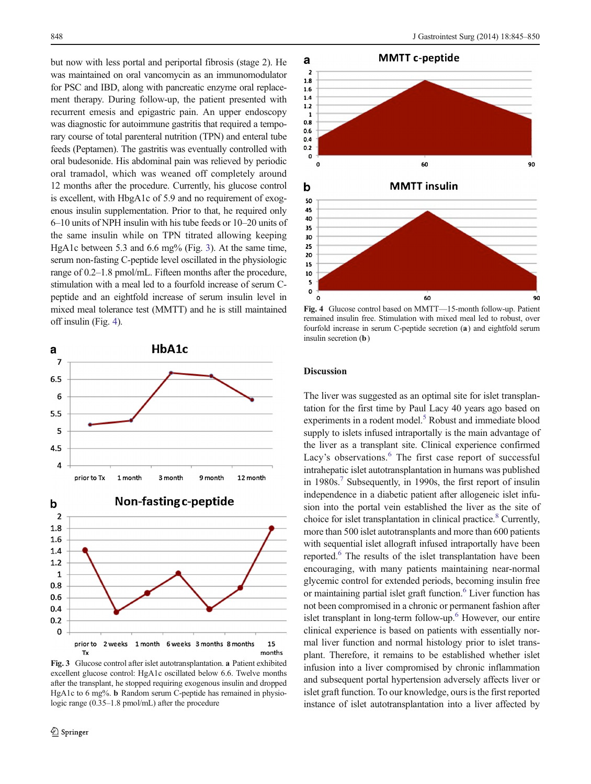but now with less portal and periportal fibrosis (stage 2). He was maintained on oral vancomycin as an immunomodulator for PSC and IBD, along with pancreatic enzyme oral replacement therapy. During follow-up, the patient presented with recurrent emesis and epigastric pain. An upper endoscopy was diagnostic for autoimmune gastritis that required a temporary course of total parenteral nutrition (TPN) and enteral tube feeds (Peptamen). The gastritis was eventually controlled with oral budesonide. His abdominal pain was relieved by periodic oral tramadol, which was weaned off completely around 12 months after the procedure. Currently, his glucose control is excellent, with HbgA1c of 5.9 and no requirement of exogenous insulin supplementation. Prior to that, he required only 6–10 units of NPH insulin with his tube feeds or 10–20 units of the same insulin while on TPN titrated allowing keeping HgA1c between 5.3 and 6.6 mg% (Fig. 3). At the same time, serum non-fasting C-peptide level oscillated in the physiologic range of 0.2–1.8 pmol/mL. Fifteen months after the procedure, stimulation with a meal led to a fourfold increase of serum Cpeptide and an eightfold increase of serum insulin level in mixed meal tolerance test (MMTT) and he is still maintained off insulin (Fig. 4).





Fig. 3 Glucose control after islet autotransplantation. a Patient exhibited excellent glucose control: HgA1c oscillated below 6.6. Twelve months after the transplant, he stopped requiring exogenous insulin and dropped HgA1c to 6 mg%. **b** Random serum C-peptide has remained in physiologic range (0.35–1.8 pmol/mL) after the procedure



Fig. 4 Glucose control based on MMTT—15-month follow-up. Patient remained insulin free. Stimulation with mixed meal led to robust, over fourfold increase in serum C-peptide secretion (a) and eightfold serum insulin secretion (**b**)

## **Discussion**

The liver was suggested as an optimal site for islet transplantation for the first time by Paul Lacy 40 years ago based on experiments in a rodent model.<sup>5</sup> Robust and immediate blood supply to islets infused intraportally is the main advantage of the liver as a transplant site. Clinical experience confirmed Lacy's observations.<sup>[6](#page-5-0)</sup> The first case report of successful intrahepatic islet autotransplantation in humans was published in 1980s.<sup>[7](#page-5-0)</sup> Subsequently, in 1990s, the first report of insulin independence in a diabetic patient after allogeneic islet infusion into the portal vein established the liver as the site of choice for islet transplantation in clinical practice.<sup>8</sup> Currently, more than 500 islet autotransplants and more than 600 patients with sequential islet allograft infused intraportally have been reported.<sup>[6](#page-5-0)</sup> The results of the islet transplantation have been encouraging, with many patients maintaining near-normal glycemic control for extended periods, becoming insulin free or maintaining partial islet graft function. $6$  Liver function has not been compromised in a chronic or permanent fashion after islet transplant in long-term follow-up. $<sup>6</sup>$  $<sup>6</sup>$  $<sup>6</sup>$  However, our entire</sup> clinical experience is based on patients with essentially normal liver function and normal histology prior to islet transplant. Therefore, it remains to be established whether islet infusion into a liver compromised by chronic inflammation and subsequent portal hypertension adversely affects liver or islet graft function. To our knowledge, ours is the first reported instance of islet autotransplantation into a liver affected by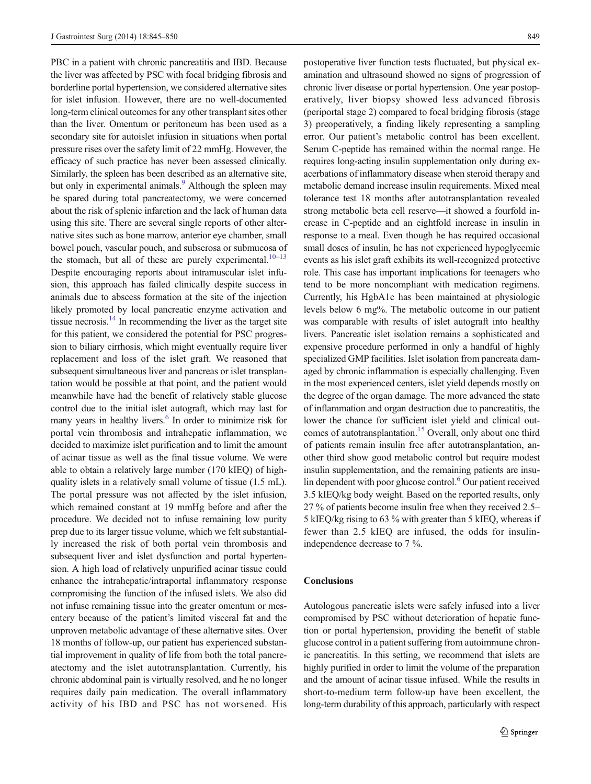PBC in a patient with chronic pancreatitis and IBD. Because the liver was affected by PSC with focal bridging fibrosis and borderline portal hypertension, we considered alternative sites for islet infusion. However, there are no well-documented long-term clinical outcomes for any other transplant sites other than the liver. Omentum or peritoneum has been used as a secondary site for autoislet infusion in situations when portal pressure rises over the safety limit of 22 mmHg. However, the efficacy of such practice has never been assessed clinically. Similarly, the spleen has been described as an alternative site, but only in experimental animals.<sup>9</sup> Although the spleen may be spared during total pancreatectomy, we were concerned about the risk of splenic infarction and the lack of human data using this site. There are several single reports of other alternative sites such as bone marrow, anterior eye chamber, small bowel pouch, vascular pouch, and subserosa or submucosa of the stomach, but all of these are purely experimental.<sup>[10](#page-5-0)–[13](#page-5-0)</sup> Despite encouraging reports about intramuscular islet infusion, this approach has failed clinically despite success in animals due to abscess formation at the site of the injection likely promoted by local pancreatic enzyme activation and tissue necrosis. $14$  In recommending the liver as the target site for this patient, we considered the potential for PSC progression to biliary cirrhosis, which might eventually require liver replacement and loss of the islet graft. We reasoned that subsequent simultaneous liver and pancreas or islet transplantation would be possible at that point, and the patient would meanwhile have had the benefit of relatively stable glucose control due to the initial islet autograft, which may last for many years in healthy livers.<sup>[6](#page-5-0)</sup> In order to minimize risk for portal vein thrombosis and intrahepatic inflammation, we decided to maximize islet purification and to limit the amount of acinar tissue as well as the final tissue volume. We were able to obtain a relatively large number (170 kIEQ) of highquality islets in a relatively small volume of tissue (1.5 mL). The portal pressure was not affected by the islet infusion, which remained constant at 19 mmHg before and after the procedure. We decided not to infuse remaining low purity prep due to its larger tissue volume, which we felt substantial-

ly increased the risk of both portal vein thrombosis and subsequent liver and islet dysfunction and portal hypertension. A high load of relatively unpurified acinar tissue could enhance the intrahepatic/intraportal inflammatory response compromising the function of the infused islets. We also did not infuse remaining tissue into the greater omentum or mesentery because of the patient's limited visceral fat and the unproven metabolic advantage of these alternative sites. Over 18 months of follow-up, our patient has experienced substantial improvement in quality of life from both the total pancreatectomy and the islet autotransplantation. Currently, his chronic abdominal pain is virtually resolved, and he no longer requires daily pain medication. The overall inflammatory activity of his IBD and PSC has not worsened. His postoperative liver function tests fluctuated, but physical examination and ultrasound showed no signs of progression of chronic liver disease or portal hypertension. One year postoperatively, liver biopsy showed less advanced fibrosis (periportal stage 2) compared to focal bridging fibrosis (stage 3) preoperatively, a finding likely representing a sampling error. Our patient's metabolic control has been excellent. Serum C-peptide has remained within the normal range. He requires long-acting insulin supplementation only during exacerbations of inflammatory disease when steroid therapy and metabolic demand increase insulin requirements. Mixed meal tolerance test 18 months after autotransplantation revealed strong metabolic beta cell reserve—it showed a fourfold increase in C-peptide and an eightfold increase in insulin in response to a meal. Even though he has required occasional small doses of insulin, he has not experienced hypoglycemic events as his islet graft exhibits its well-recognized protective role. This case has important implications for teenagers who tend to be more noncompliant with medication regimens. Currently, his HgbA1c has been maintained at physiologic levels below 6 mg%. The metabolic outcome in our patient was comparable with results of islet autograft into healthy livers. Pancreatic islet isolation remains a sophisticated and expensive procedure performed in only a handful of highly specialized GMP facilities. Islet isolation from pancreata damaged by chronic inflammation is especially challenging. Even in the most experienced centers, islet yield depends mostly on the degree of the organ damage. The more advanced the state of inflammation and organ destruction due to pancreatitis, the lower the chance for sufficient islet yield and clinical out-comes of autotransplantation.<sup>[15](#page-5-0)</sup> Overall, only about one third of patients remain insulin free after autotransplantation, another third show good metabolic control but require modest insulin supplementation, and the remaining patients are insulin dependent with poor glucose control. $6$  Our patient received 3.5 kIEQ/kg body weight. Based on the reported results, only 27 % of patients become insulin free when they received 2.5– 5 kIEQ/kg rising to 63 % with greater than 5 kIEQ, whereas if fewer than 2.5 kIEQ are infused, the odds for insulinindependence decrease to 7 %.

# **Conclusions**

Autologous pancreatic islets were safely infused into a liver compromised by PSC without deterioration of hepatic function or portal hypertension, providing the benefit of stable glucose control in a patient suffering from autoimmune chronic pancreatitis. In this setting, we recommend that islets are highly purified in order to limit the volume of the preparation and the amount of acinar tissue infused. While the results in short-to-medium term follow-up have been excellent, the long-term durability of this approach, particularly with respect